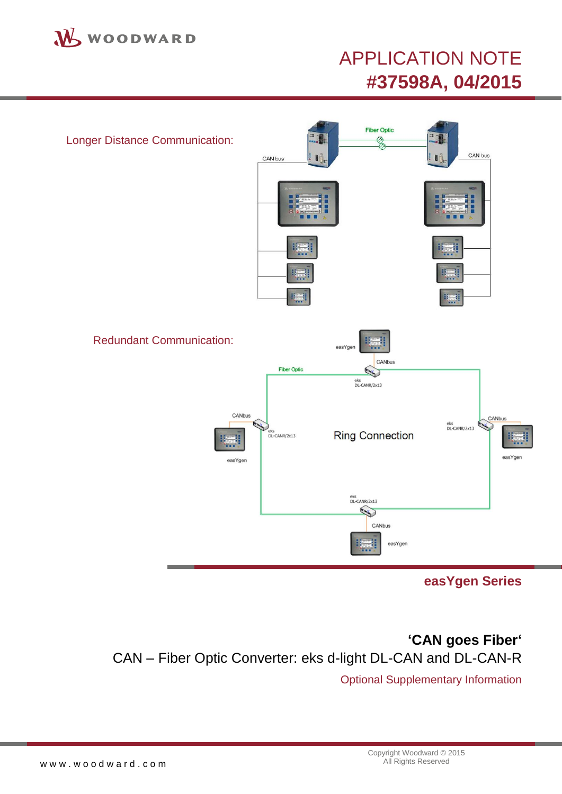

# APPLICATION NOTE **#37598A, 04/2015**



**easYgen Series**

<span id="page-0-2"></span><span id="page-0-1"></span><span id="page-0-0"></span>**'CAN goes Fiber'** CAN – Fiber Optic Converter: eks d-light DL-CAN and DL-CAN-R

Optional Supplementary Information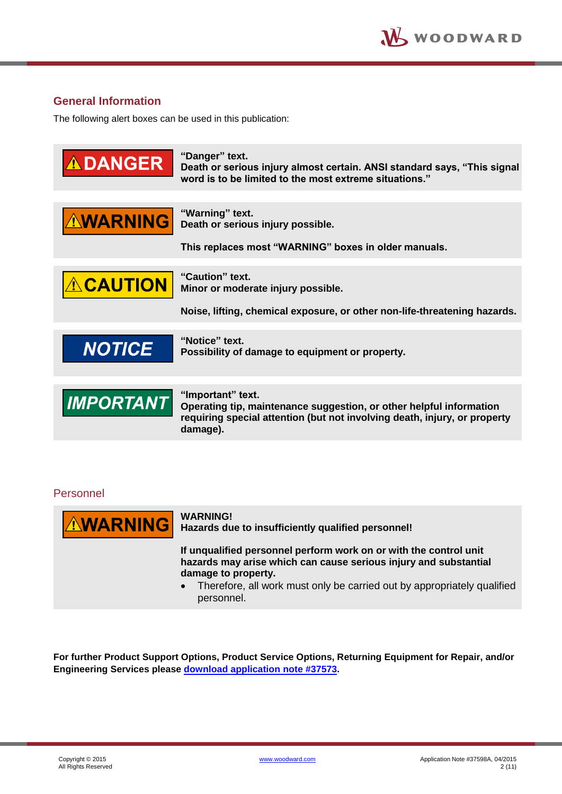### <span id="page-1-0"></span>**General Information**

The following alert boxes can be used in this publication:

| <b>DANGER</b>    | "Danger" text.<br>Death or serious injury almost certain. ANSI standard says, "This signal<br>word is to be limited to the most extreme situations."                              |
|------------------|-----------------------------------------------------------------------------------------------------------------------------------------------------------------------------------|
| <b>AWARNING</b>  | "Warning" text.<br>Death or serious injury possible.<br>This replaces most "WARNING" boxes in older manuals.                                                                      |
| <b>ACAUTION</b>  | "Caution" text.<br>Minor or moderate injury possible.<br>Noise, lifting, chemical exposure, or other non-life-threatening hazards.                                                |
| <b>NOTICE</b>    | "Notice" text.<br>Possibility of damage to equipment or property.                                                                                                                 |
| <b>IMPORTANT</b> | "Important" text.<br>Operating tip, maintenance suggestion, or other helpful information<br>requiring special attention (but not involving death, injury, or property<br>damage). |

### <span id="page-1-1"></span>Personnel



#### **WARNING!**

**Hazards due to insufficiently qualified personnel!**

**If unqualified personnel perform work on or with the control unit hazards may arise which can cause serious injury and substantial damage to property.**

• Therefore, all work must only be carried out by appropriately qualified personnel.

**For further Product Support Options, Product Service Options, Returning Equipment for Repair, and/or Engineering Services please [download application note #3](http://www.woodward.com/download/pub#37573)7573.**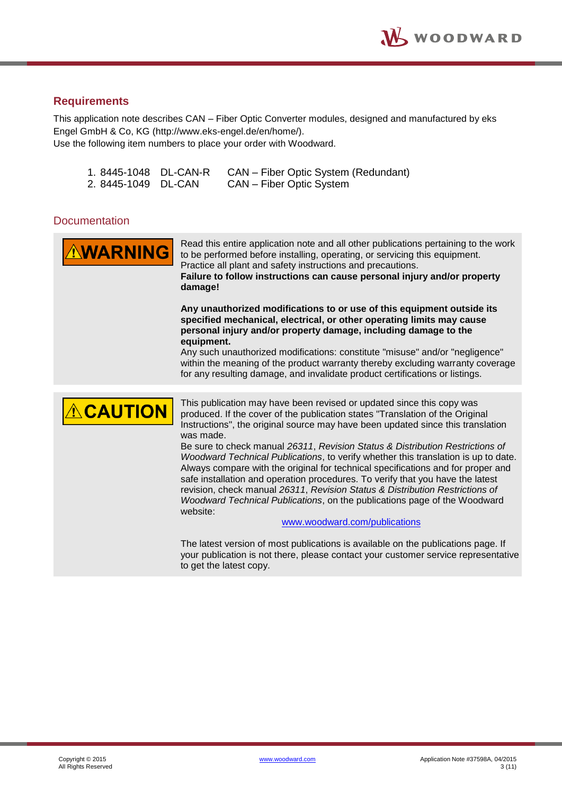### <span id="page-2-0"></span>**Requirements**

This application note describes CAN – Fiber Optic Converter modules, designed and manufactured by eks Engel GmbH & Co, KG (http://www.eks-engel.de/en/home/). Use the following item numbers to place your order with Woodward.

|                    | 1.8445-1048 DL-CAN-R | CAN – Fiber Optic System (Redundant) |
|--------------------|----------------------|--------------------------------------|
| 2.8445-1049 DL-CAN |                      | CAN – Fiber Optic System             |

### <span id="page-2-1"></span>**Documentation**

| <b>AWARNING</b> | Read this entire application note and all other publications pertaining to the work<br>to be performed before installing, operating, or servicing this equipment.<br>Practice all plant and safety instructions and precautions.<br>Failure to follow instructions can cause personal injury and/or property<br>damage!                                                                                                                                                                                                                                                                                                                                                                                                                                                                                                                                                                                                                                                                                             |  |
|-----------------|---------------------------------------------------------------------------------------------------------------------------------------------------------------------------------------------------------------------------------------------------------------------------------------------------------------------------------------------------------------------------------------------------------------------------------------------------------------------------------------------------------------------------------------------------------------------------------------------------------------------------------------------------------------------------------------------------------------------------------------------------------------------------------------------------------------------------------------------------------------------------------------------------------------------------------------------------------------------------------------------------------------------|--|
|                 | Any unauthorized modifications to or use of this equipment outside its<br>specified mechanical, electrical, or other operating limits may cause<br>personal injury and/or property damage, including damage to the<br>equipment.<br>Any such unauthorized modifications: constitute "misuse" and/or "negligence"<br>within the meaning of the product warranty thereby excluding warranty coverage<br>for any resulting damage, and invalidate product certifications or listings.                                                                                                                                                                                                                                                                                                                                                                                                                                                                                                                                  |  |
| <b>ACAUTION</b> | This publication may have been revised or updated since this copy was<br>produced. If the cover of the publication states "Translation of the Original<br>Instructions", the original source may have been updated since this translation<br>was made.<br>Be sure to check manual 26311, Revision Status & Distribution Restrictions of<br>Woodward Technical Publications, to verify whether this translation is up to date.<br>Always compare with the original for technical specifications and for proper and<br>safe installation and operation procedures. To verify that you have the latest<br>revision, check manual 26311, Revision Status & Distribution Restrictions of<br>Woodward Technical Publications, on the publications page of the Woodward<br>website:<br>www.woodward.com/publications<br>The latest version of most publications is available on the publications page. If<br>your publication is not there, please contact your customer service representative<br>to get the latest copy. |  |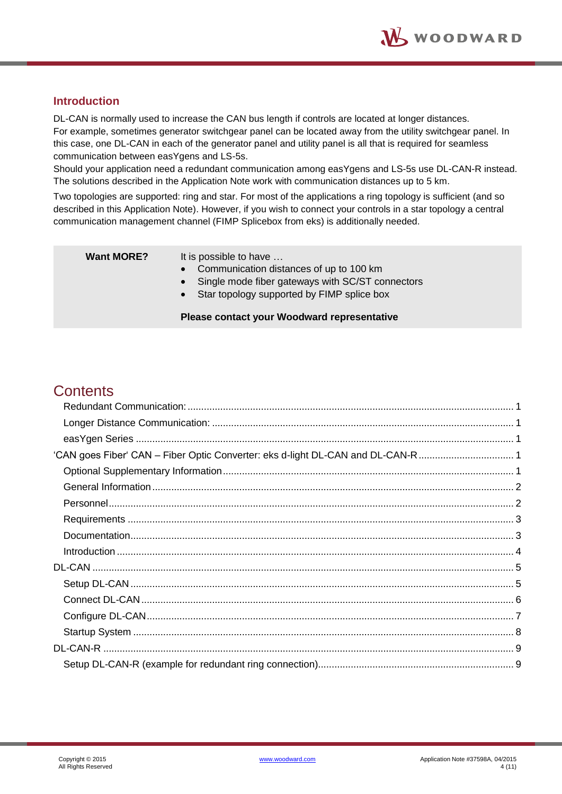### <span id="page-3-0"></span>**Introduction**

DL-CAN is normally used to increase the CAN bus length if controls are located at longer distances. For example, sometimes generator switchgear panel can be located away from the utility switchgear panel. In this case, one DL-CAN in each of the generator panel and utility panel is all that is required for seamless communication between easYgens and LS-5s.

Should your application need a redundant communication among easYgens and LS-5s use DL-CAN-R instead. The solutions described in the Application Note work with communication distances up to 5 km.

Two topologies are supported: ring and star. For most of the applications a ring topology is sufficient (and so described in this Application Note). However, if you wish to connect your controls in a star topology a central communication management channel (FIMP Splicebox from eks) is additionally needed.

**Want MORE?** It is possible to have ...

- Communication distances of up to 100 km
- Single mode fiber gateways with SC/ST connectors
- Star topology supported by FIMP splice box

#### **Please contact your Woodward representative**

## **Contents**

| 'CAN goes Fiber' CAN - Fiber Optic Converter: eks d-light DL-CAN and DL-CAN-R  1 |  |
|----------------------------------------------------------------------------------|--|
|                                                                                  |  |
|                                                                                  |  |
|                                                                                  |  |
|                                                                                  |  |
|                                                                                  |  |
|                                                                                  |  |
|                                                                                  |  |
|                                                                                  |  |
|                                                                                  |  |
|                                                                                  |  |
|                                                                                  |  |
|                                                                                  |  |
|                                                                                  |  |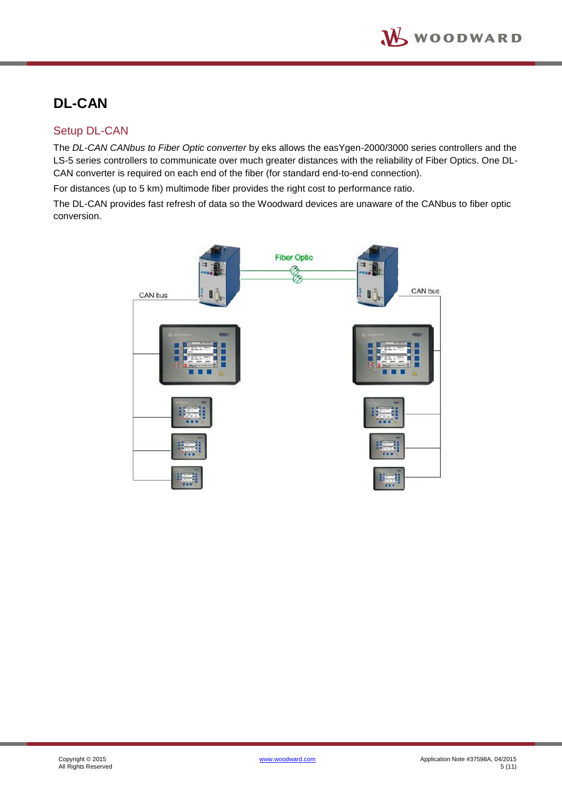# <span id="page-4-0"></span>**DL-CAN**

### <span id="page-4-1"></span>Setup DL-CAN

The *DL-CAN CANbus to Fiber Optic converter* by eks allows the easYgen-2000/3000 series controllers and the LS-5 series controllers to communicate over much greater distances with the reliability of Fiber Optics. One DL-CAN converter is required on each end of the fiber (for standard end-to-end connection).

For distances (up to 5 km) multimode fiber provides the right cost to performance ratio.

The DL-CAN provides fast refresh of data so the Woodward devices are unaware of the CANbus to fiber optic conversion.

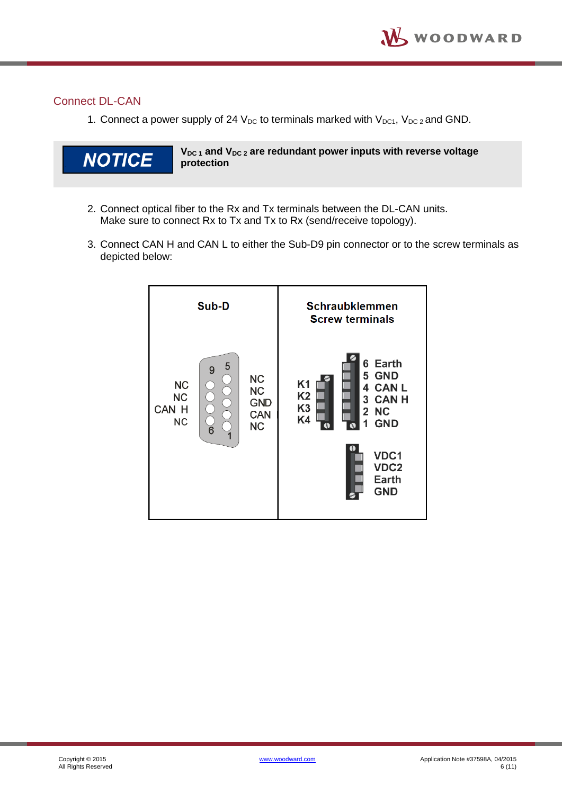### <span id="page-5-0"></span>Connect DL-CAN

1. Connect a power supply of 24  $V_{DC}$  to terminals marked with  $V_{DC1}$ ,  $V_{DC2}$  and GND.



**VDC 1 and VDC 2 are redundant power inputs with reverse voltage protection**

- 2. Connect optical fiber to the Rx and Tx terminals between the DL-CAN units. Make sure to connect Rx to Tx and Tx to Rx (send/receive topology).
- 3. Connect CAN H and CAN L to either the Sub-D9 pin connector or to the screw terminals as depicted below:

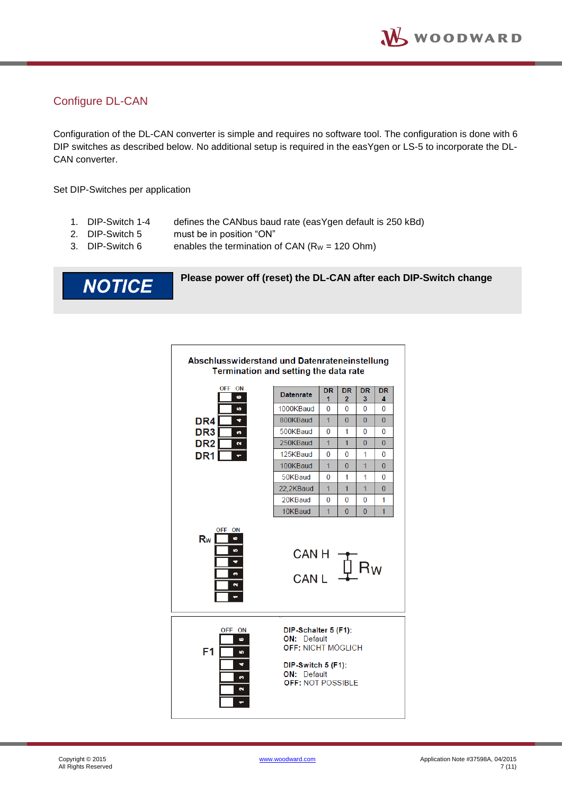### <span id="page-6-0"></span>Configure DL-CAN

Configuration of the DL-CAN converter is simple and requires no software tool. The configuration is done with 6 DIP switches as described below. No additional setup is required in the easYgen or LS-5 to incorporate the DL-CAN converter.

Set DIP-Switches per application

- 1. DIP-Switch 1-4 defines the CANbus baud rate (easYgen default is 250 kBd)
- 2. DIP-Switch 5 must be in position "ON"
- 3. DIP-Switch 6 enables the termination of CAN  $(R_W = 120$  Ohm)

**NOTICE** 

#### **Please power off (reset) the DL-CAN after each DIP-Switch change**

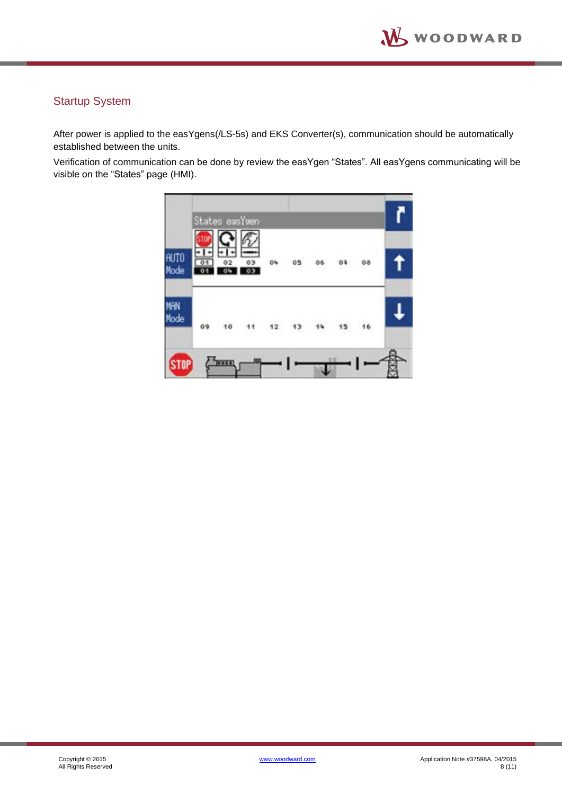### <span id="page-7-0"></span>Startup System

After power is applied to the easYgens(/LS-5s) and EKS Converter(s), communication should be automatically established between the units.

Verification of communication can be done by review the easYgen "States". All easYgens communicating will be visible on the "States" page (HMI).

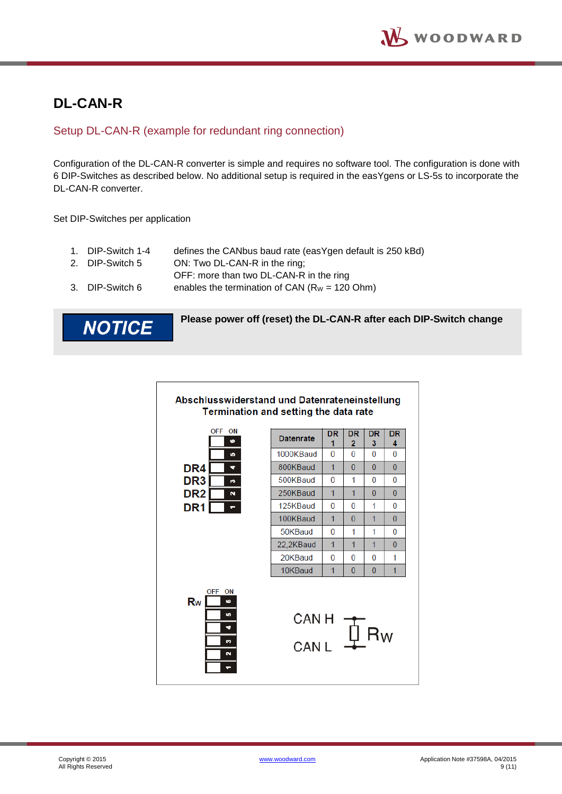# <span id="page-8-0"></span>**DL-CAN-R**

### <span id="page-8-1"></span>Setup DL-CAN-R (example for redundant ring connection)

Configuration of the DL-CAN-R converter is simple and requires no software tool. The configuration is done with 6 DIP-Switches as described below. No additional setup is required in the easYgens or LS-5s to incorporate the DL-CAN-R converter.

Set DIP-Switches per application

|  | 1. DIP-Switch 1-4 | defines the CANbus baud rate (easYgen default is 250 kBd) |
|--|-------------------|-----------------------------------------------------------|
|--|-------------------|-----------------------------------------------------------|

- 2. DIP-Switch 5 ON: Two DL-CAN-R in the ring;
	- OFF: more than two DL-CAN-R in the ring
- 3. DIP-Switch 6 enables the termination of CAN  $(R_W = 120$  Ohm)



**Please power off (reset) the DL-CAN-R after each DIP-Switch change**

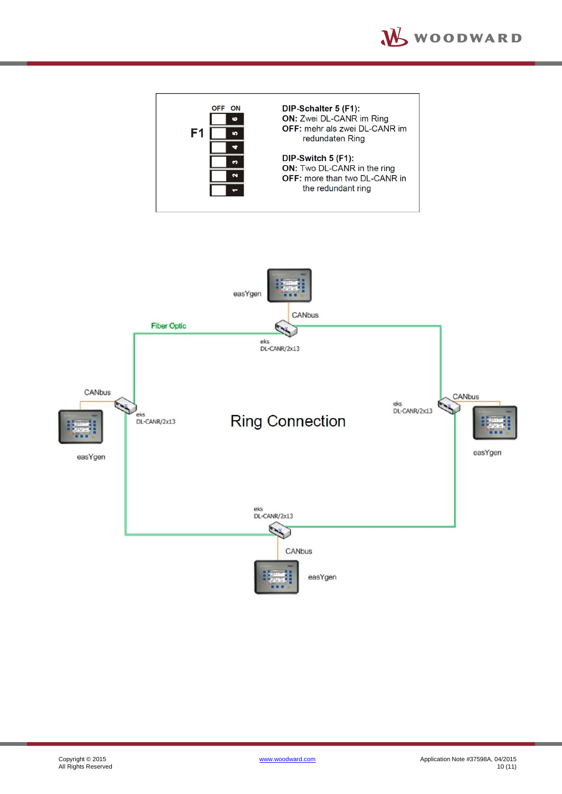